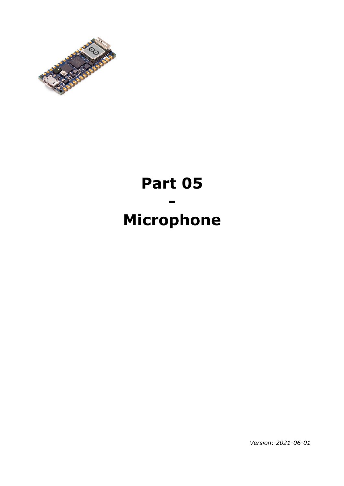

# **Part 05 - Microphone**

*Version: 2021-06-01*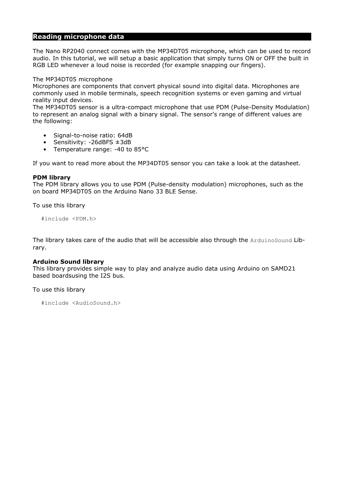## **Reading microphone data**

The Nano RP2040 connect comes with the MP34DT05 microphone, which can be used to record audio. In this tutorial, we will setup a basic application that simply turns ON or OFF the built in RGB LED whenever a loud noise is recorded (for example snapping our fingers).

#### The MP34DT05 microphone

Microphones are components that convert physical sound into digital data. Microphones are commonly used in mobile terminals, speech recognition systems or even gaming and virtual reality input devices.

The MP34DT05 sensor is a ultra-compact microphone that use PDM (Pulse-Density Modulation) to represent an analog signal with a binary signal. The sensor's range of different values are the following:

- Signal-to-noise ratio: 64dB
- Sensitivity:  $-26$ dBFS  $\pm 3$ dB
- Temperature range: -40 to 85°C

If you want to read more about the MP34DT05 sensor you can take a look at the datasheet.

#### **PDM library**

The PDM library allows you to use PDM (Pulse-density modulation) microphones, such as the on board MP34DT05 on the Arduino Nano 33 BLE Sense.

To use this library

#include <PDM.h>

The library takes care of the audio that will be accessible also through the ArduinoSound Library.

#### **Arduino Sound library**

This library provides simple way to play and analyze audio data using Arduino on SAMD21 based boardsusing the I2S bus.

#### To use this library

```
#include <AudioSound.h>
```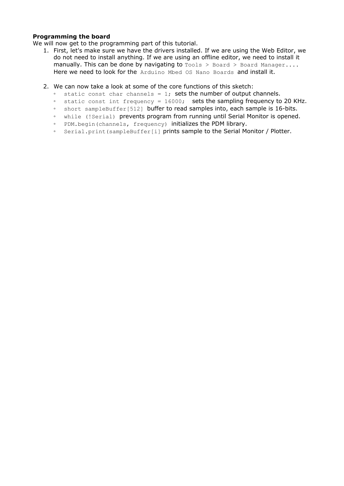### **Programming the board**

We will now get to the programming part of this tutorial.

- 1. First, let's make sure we have the drivers installed. If we are using the Web Editor, we do not need to install anything. If we are using an offline editor, we need to install it manually. This can be done by navigating to  $Tools > Board > Board Manager...$ Here we need to look for the Arduino Mbed OS Nano Boards and install it.
- 2. We can now take a look at some of the core functions of this sketch:
	- static const char channels = 1; sets the number of output channels.
	- static const int frequency = 16000; sets the sampling frequency to 20 KHz.
	- short sampleBuffer[512] buffer to read samples into, each sample is 16-bits.
	- while (!Serial) prevents program from running until Serial Monitor is opened.
	- PDM.begin(channels, frequency) initializes the PDM library.
	- Serial.print(sampleBuffer[i] prints sample to the Serial Monitor / Plotter.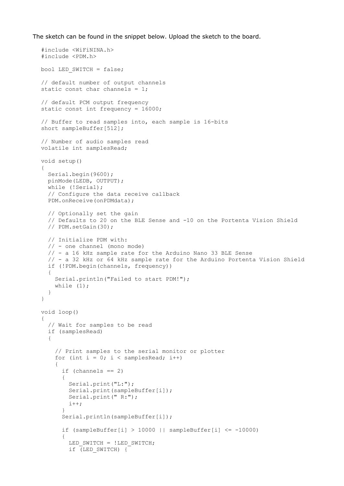The sketch can be found in the snippet below. Upload the sketch to the board.

```
#include <WiFiNINA.h>
#include <PDM.h>
bool LED SWITCH = false;
// default number of output channels
static const char channels = 1;
// default PCM output frequency
static const int frequency = 16000;
// Buffer to read samples into, each sample is 16-bits
short sampleBuffer[512];
// Number of audio samples read
volatile int samplesRead;
void setup() 
{
   Serial.begin(9600);
   pinMode(LEDB, OUTPUT);
   while (!Serial);
   // Configure the data receive callback
   PDM.onReceive(onPDMdata);
   // Optionally set the gain
   // Defaults to 20 on the BLE Sense and -10 on the Portenta Vision Shield
   // PDM.setGain(30);
   // Initialize PDM with:
   // - one channel (mono mode)
   // - a 16 kHz sample rate for the Arduino Nano 33 BLE Sense
   // - a 32 kHz or 64 kHz sample rate for the Arduino Portenta Vision Shield
   if (!PDM.begin(channels, frequency)) 
   {
     Serial.println("Failed to start PDM!");
    while (1);
   }
}
void loop() 
{
   // Wait for samples to be read
   if (samplesRead) 
   {
     // Print samples to the serial monitor or plotter
    for (int i = 0; i < samplesRead; i++) {
      if (channels == 2)
       {
         Serial.print("L:");
         Serial.print(sampleBuffer[i]);
         Serial.print(" R:");
       i++; }
      Serial.println(sampleBuffer[i]);
      if (sampleBuffer[i] > 10000 || sampleBuffer[i] \le -10000)
 {
        LED_SWITCH = !LED_SWITCH;
        if (LED SWITCH) {
```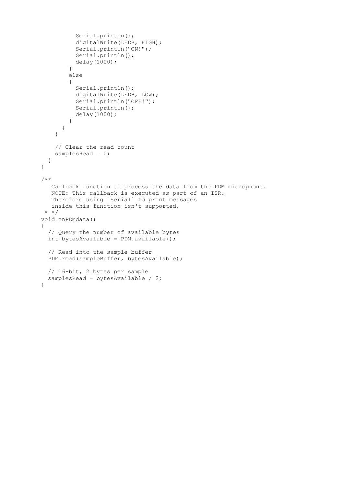```
 Serial.println();
           digitalWrite(LEDB, HIGH);
           Serial.println("ON!");
           Serial.println();
           delay(1000);
         }
         else 
         {
           Serial.println();
           digitalWrite(LEDB, LOW);
           Serial.println("OFF!");
           Serial.println();
           delay(1000);
         }
       }
     }
     // Clear the read count
     samplesRead = 0;
   }
}
/**
    Callback function to process the data from the PDM microphone.
    NOTE: This callback is executed as part of an ISR.
    Therefore using `Serial` to print messages 
    inside this function isn't supported.
  * */
void onPDMdata() 
{
   // Query the number of available bytes
   int bytesAvailable = PDM.available();
   // Read into the sample buffer
   PDM.read(sampleBuffer, bytesAvailable);
   // 16-bit, 2 bytes per sample
  samplesRead = bytesAvailable / 2;
}
```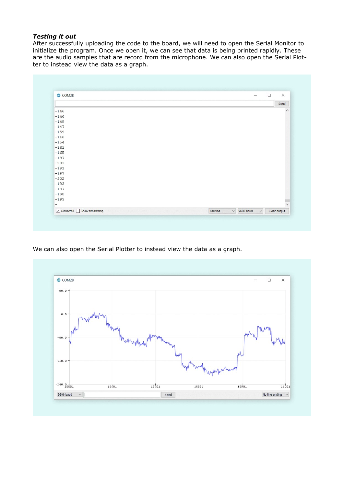## *Testing it out*

After successfully uploading the code to the board, we will need to open the Serial Monitor to initialize the program. Once we open it, we can see that data is being printed rapidly. These are the audio samples that are record from the microphone. We can also open the Serial Plotter to instead view the data as a graph.

| COM28  | $\times$<br>$\Box$<br>$\sim$                                 |
|--------|--------------------------------------------------------------|
|        | Send                                                         |
| $-146$ | $\hat{}$                                                     |
| $-146$ |                                                              |
| $-149$ |                                                              |
| $-147$ |                                                              |
| $-159$ |                                                              |
| $-160$ |                                                              |
| $-154$ |                                                              |
| $-161$ |                                                              |
| $-165$ |                                                              |
| $-197$ |                                                              |
| $-203$ |                                                              |
| $-191$ |                                                              |
| $-197$ |                                                              |
| $-202$ |                                                              |
| $-193$ |                                                              |
| $-197$ |                                                              |
| $-198$ |                                                              |
| $-193$ |                                                              |
|        | $\checkmark$                                                 |
|        | $\vee$ 9600 baud<br>Newline<br>$\smallsmile$<br>Clear output |

We can also open the Serial Plotter to instead view the data as a graph.